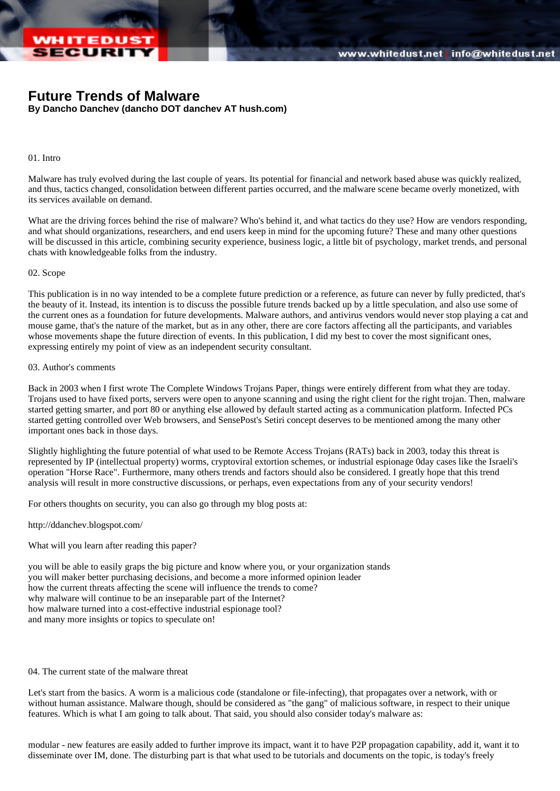# [Future Trends of Malware](http://www.whitedust.net/)

By Dancho Danchev (dancho DOT danchev AT hush.com)

## 01. Intro

Malware has truly evolved during the last couple of years. Its potential for financial and network based abuse was quickly realized, and thus, tactics changed, consolidation between different parties occurred, and the malware scene became overly monetized, with its services available on demand.

What are the driving forces behind the rise of malware? Who's behind it, and what tactics do they use? How are vendors responding and what should organizations, researchers, and end users keep in mind for the upcoming future? These and many other questions will be discussed in this article, combining security experience, business logic, a little bit of psychology, market trends, and personal chats with knowledgeable folks from the industry.

### 02. Scope

This publication is in no way intended to be a complete future prediction or a reference, as future can never by fully predicted, that's the beauty of it. Instead, its intention is to discuss the possible future trends backed up by a little speculation, and also use some of the current ones as a foundation for future developments. Malware authors, and antivirus vendors would never stop playing a cat an mouse game, that's the nature of the market, but as in any other, there are core factors affecting all the participants, and variables whose movements shape the future direction of events. In this publication, I did my best to cover the most significant ones, expressing entirely my point of view as an independent security consultant.

### 03. Author's comments

Back in 2003 when I first wrote The Complete Windows Trojans Paper, things were entirely different from what they are today. Trojans used to have fixed ports, servers were open to anyone scanning and using the right client for the right trojan. Then, malware started getting smarter, and port 80 or anything else allowed by default started acting as a communication platform. Infected PCs started getting controlled over Web browsers, and SensePost's Setiri concept deserves to be mentioned among the many other important ones back in those days.

Slightly highlighting the future potential of what used to be Remote Access Trojans (RATs) back in 2003, today this threat is represented by IP (intellectual property) worms, cryptoviral extortion schemes, or industrial espionage 0day cases like the Israeli's operation "Horse Race". Furthermore, many others trends and factors should also be considered. I greatly hope that this trend analysis will result in more constructive discussions, or perhaps, even expectations from any of your security vendors!

For others thoughts on security, you can also go through my blog posts at:

http://ddanchev.blogspot.com/

What will you learn after reading this paper?

you will be able to easily graps the big picture and know where you, or your organization stands you will maker better purchasing decisions, and become a more informed opinion leader how the current threats affecting the scene will influence the trends to come? why malware will continue to be an inseparable part of the Internet? how malware turned into a cost-effective industrial espionage tool? and many more insights or topics to speculate on!

### 04. The current state of the malware threat

Let's start from the basics. A worm is a malicious code (standalone or file-infecting), that propagates over a network, with or without human assistance. Malware though, should be considered as "the gang" of malicious software, in respect to their unique features. Which is what I am going to talk about. That said, you should also consider today's malware as:

modular - new features are easily added to further improve its impact, want it to have P2P propagation capability, add it, want it to disseminate over IM, done. The disturbing part is that what used to be tutorials and documents on the topic, is today's freely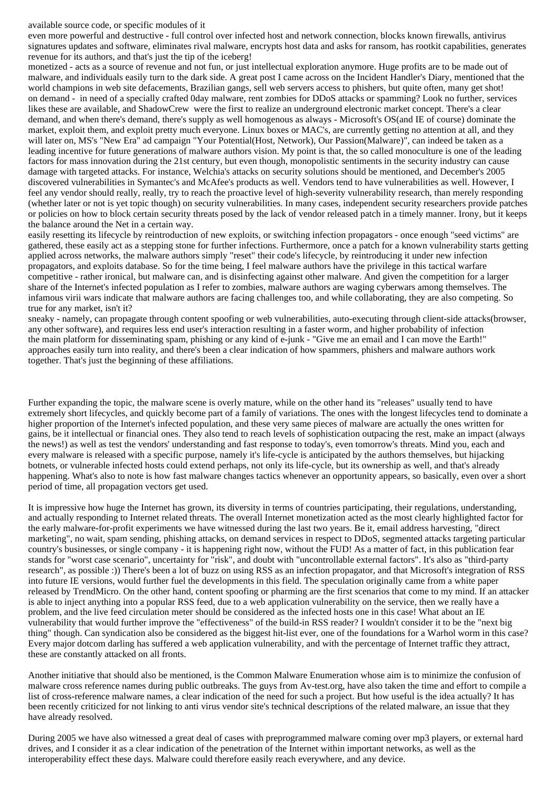#### available source code, or specific modules of it

even more powerful and destructive - full control over infected host and network connection, blocks known firewalls, antivirus signatures updates and software, eliminates rival malware, encrypts host data and asks for ransom, has rootkit capabilities, generates revenue for its authors, and that's just the tip of the iceberg!

monetized - acts as a source of revenue and not fun, or just intellectual exploration anymore. Huge profits are to be made out of malware, and individuals easily turn to the dark side. A great post I came across on the Incident Handler's Diary, mentioned that the world champions in web site defacements, Brazilian gangs, sell web servers access to phishers, but quite often, many get shot! on demand - in need of a specially crafted 0day malware, rent zombies for DDoS attacks or spamming? Look no further, services likes these are available, and ShadowCrew were the first to realize an underground electronic market concept. There's a clear demand, and when there's demand, there's supply as well homogenous as always - Microsoft's OS(and IE of course) dominate the market, exploit them, and exploit pretty much everyone. Linux boxes or MAC's, are currently getting no attention at all, and they will later on, MS's "New Era" ad campaign "Your Potential(Host, Network), Our Passion(Malware)", can indeed be taken as a leading incentive for future generations of malware authors vision. My point is that, the so called monoculture is one of the leading factors for mass innovation during the 21st century, but even though, monopolistic sentiments in the security industry can cause damage with targeted attacks. For instance, Welchia's attacks on security solutions should be mentioned, and December's 2005 discovered vulnerabilities in Symantec's and McAfee's products as well. Vendors tend to have vulnerabilities as well. However, I feel any vendor should really, really, try to reach the proactive level of high-severity vulnerability research, than merely responding (whether later or not is yet topic though) on security vulnerabilities. In many cases, independent security researchers provide patches or policies on how to block certain security threats posed by the lack of vendor released patch in a timely manner. Irony, but it keeps the balance around the Net in a certain way.

easily resetting its lifecycle by reintroduction of new exploits, or switching infection propagators - once enough "seed victims" are gathered, these easily act as a stepping stone for further infections. Furthermore, once a patch for a known vulnerability starts getting applied across networks, the malware authors simply "reset" their code's lifecycle, by reintroducing it under new infection propagators, and exploits database. So for the time being, I feel malware authors have the privilege in this tactical warfare competitive - rather ironical, but malware can, and is disinfecting against other malware. And given the competition for a larger share of the Internet's infected population as I refer to zombies, malware authors are waging cyberwars among themselves. The infamous virii wars indicate that malware authors are facing challenges too, and while collaborating, they are also competing. So true for any market, isn't it?

sneaky - namely, can propagate through content spoofing or web vulnerabilities, auto-executing through client-side attacks(browser, any other software), and requires less end user's interaction resulting in a faster worm, and higher probability of infection the main platform for disseminating spam, phishing or any kind of e-junk - "Give me an email and I can move the Earth!" approaches easily turn into reality, and there's been a clear indication of how spammers, phishers and malware authors work together. That's just the beginning of these affiliations.

Further expanding the topic, the malware scene is overly mature, while on the other hand its "releases" usually tend to have extremely short lifecycles, and quickly become part of a family of variations. The ones with the longest lifecycles tend to dominate a higher proportion of the Internet's infected population, and these very same pieces of malware are actually the ones written for gains, be it intellectual or financial ones. They also tend to reach levels of sophistication outpacing the rest, make an impact (always the news!) as well as test the vendors' understanding and fast response to today's, even tomorrow's threats. Mind you, each and every malware is released with a specific purpose, namely it's life-cycle is anticipated by the authors themselves, but hijacking botnets, or vulnerable infected hosts could extend perhaps, not only its life-cycle, but its ownership as well, and that's already happening. What's also to note is how fast malware changes tactics whenever an opportunity appears, so basically, even over a short period of time, all propagation vectors get used.

It is impressive how huge the Internet has grown, its diversity in terms of countries participating, their regulations, understanding, and actually responding to Internet related threats. The overall Internet monetization acted as the most clearly highlighted factor for the early malware-for-profit experiments we have witnessed during the last two years. Be it, email address harvesting, "direct marketing", no wait, spam sending, phishing attacks, on demand services in respect to DDoS, segmented attacks targeting particular country's businesses, or single company - it is happening right now, without the FUD! As a matter of fact, in this publication fear stands for "worst case scenario", uncertainty for "risk", and doubt with "uncontrollable external factors". It's also as "third-party research", as possible :)) There's been a lot of buzz on using RSS as an infection propagator, and that Microsoft's integration of RSS into future IE versions, would further fuel the developments in this field. The speculation originally came from a white paper released by TrendMicro. On the other hand, content spoofing or pharming are the first scenarios that come to my mind. If an attacker is able to inject anything into a popular RSS feed, due to a web application vulnerability on the service, then we really have a problem, and the live feed circulation meter should be considered as the infected hosts one in this case! What about an IE vulnerability that would further improve the "effectiveness" of the build-in RSS reader? I wouldn't consider it to be the "next big thing" though. Can syndication also be considered as the biggest hit-list ever, one of the foundations for a Warhol worm in this case? Every major dotcom darling has suffered a web application vulnerability, and with the percentage of Internet traffic they attract, these are constantly attacked on all fronts.

Another initiative that should also be mentioned, is the Common Malware Enumeration whose aim is to minimize the confusion of malware cross reference names during public outbreaks. The guys from Av-test.org, have also taken the time and effort to compile a list of cross-reference malware names, a clear indication of the need for such a project. But how useful is the idea actually? It has been recently criticized for not linking to anti virus vendor site's technical descriptions of the related malware, an issue that they have already resolved.

During 2005 we have also witnessed a great deal of cases with preprogrammed malware coming over mp3 players, or external hard drives, and I consider it as a clear indication of the penetration of the Internet within important networks, as well as the interoperability effect these days. Malware could therefore easily reach everywhere, and any device.